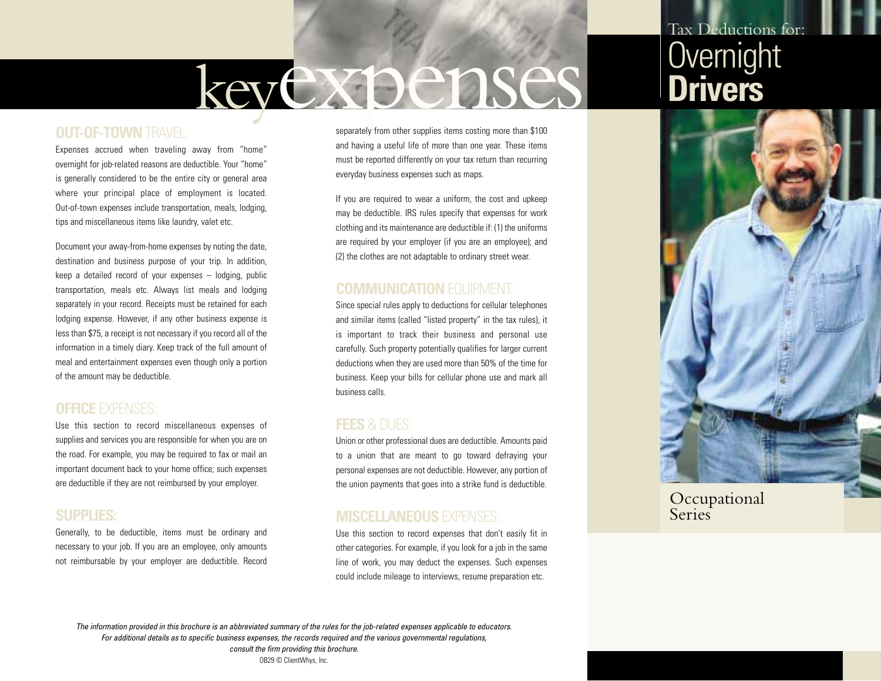# keyexpenses

## **OUT-OF-TOWN** TRAVEL:

Expenses accrued when traveling away from "home" overnight for job-related reasons are deductible. Your "home" is generally considered to be the entire city or general area where your principal place of employment is located. Out-of-town expenses include transportation, meals, lodging, tips and miscellaneous items like laundry, valet etc.

Document your away-from-home expenses by noting the date, destination and business purpose of your trip. In addition, keep a detailed record of your expenses – lodging, public transportation, meals etc. Always list meals and lodging separately in your record. Receipts must be retained for each lodging expense. However, if any other business expense is less than \$75, a receipt is not necessary if you record all of the information in a timely diary. Keep track of the full amount of meal and entertainment expenses even though only a portion of the amount may be deductible.

## **OFFICE** EXPENSES:

Use this section to record miscellaneous expenses of supplies and services you are responsible for when you are on the road. For example, you may be required to fax or mail an important document back to your home office; such expenses are deductible if they are not reimbursed by your employer.

#### **SUPPLIES:**

Generally, to be deductible, items must be ordinary and necessary to your job. If you are an employee, only amounts not reimbursable by your employer are deductible. Record separately from other supplies items costing more than \$100 and having a useful life of more than one year. These items must be reported differently on your tax return than recurring everyday business expenses such as maps.

If you are required to wear a uniform, the cost and upkeep may be deductible. IRS rules specify that expenses for work clothing and its maintenance are deductible if: (1) the uniforms are required by your employer (if you are an employee); and (2) the clothes are not adaptable to ordinary street wear.

## **COMMUNICATION FOURMENT:**

Since special rules apply to deductions for cellular telephones and similar items (called "listed property" in the tax rules), it is important to track their business and personal use carefully. Such property potentially qualifies for larger current deductions when they are used more than 50% of the time for business. Keep your bills for cellular phone use and mark all business calls.

#### **FEES** & DUES:

Union or other professional dues are deductible. Amounts paid to a union that are meant to go toward defraying your personal expenses are not deductible. However, any portion of the union payments that goes into a strike fund is deductible.

## **MISCELLANEOUS** EXPENSES:

Use this section to record expenses that don't easily fit in other categories. For example, if you look for a job in the same line of work, you may deduct the expenses. Such expenses could include mileage to interviews, resume preparation etc.

## Tax Deductions for: **Overnight Drivers**



**Occupational Series** 

*The information provided in this brochure is an abbreviated summary of the rules for the job-related expenses applicable to educators. For additional details as to specific business expenses, the records required and the various governmental regulations, consult the firm providing this brochure.* OB29 © ClientWhys, Inc.